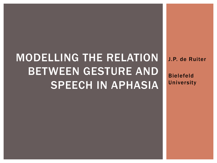# MODELLING THE RELATION BETWEEN GESTURE AND SPEECH IN APHASIA

J.P. de Ruiter

Bielefeld University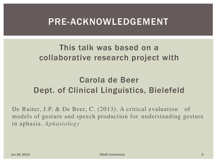### PRE-ACKNOWLEDGEMENT

#### This talk was based on a collaborative research project with

### Carola de Beer Dept. of Clinical Linguistics, Bielefeld

De Ruiter, J.P. & De Beer, C. (2013). A critical evaluation of models of gesture and speech production for understanding gesture in aphasia. *Aphasiology*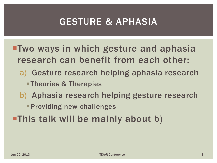# GESTURE & APHASIA

- ■Two ways in which gesture and aphasia research can benefit from each other:
	- a) Gesture research helping aphasia research
		- **Theories & Therapies**
	- b) Aphasia research helping gesture research
		- **Providing new challenges**
- This talk will be mainly about b)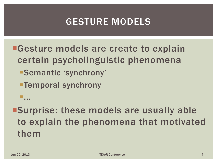# GESTURE MODELS

**Easture models are create to explain** certain psycholinguistic phenomena

Semantic 'synchrony'

Temporal synchrony

Surprise: these models are usually able to explain the phenomena that motivated them

...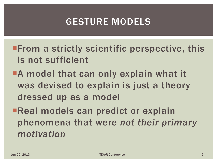# GESTURE MODELS

- **From a strictly scientific perspective, this** is not sufficient
- **A** model that can only explain what it was devised to explain is just a theory dressed up as a model
- ■Real models can predict or explain phenomena that were *not their primary motivation*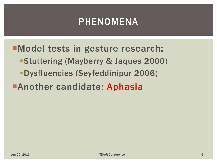# PHENOMENA

Model tests in gesture research:

- Stuttering (Mayberry & Jaques 2000)
- Dysfluencies (Seyfeddinipur 2006)

# **Another candidate: Aphasia**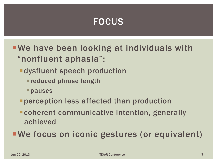#### FOCUS

- We have been looking at individuals with "nonfluent aphasia":
	- dysfluent speech production
		- reduced phrase length
		- pauses
	- perception less affected than production
	- coherent communicative intention, generally achieved
- We focus on iconic gestures (or equivalent)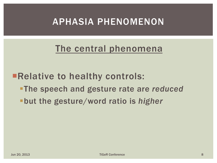### APHASIA PHENOMENON

#### The central phenomena

**Example 10 Figure 10 Figure 10 Figure 10 Figure 10 Figure 10 Figure 10 Figure 10 Figure 10 Figure 10 Figure 10 Figure 10 Figure 10 Figure 10 Figure 10 Figure 10 Figure 10 Figure 10 Figure 10 Figure 10 Figure 10 Figure 10** 

- The speech and gesture rate are *reduced*
- but the gesture/word ratio is *higher*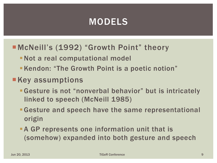# MODELS

#### McNeill's (1992) "Growth Point" theory

- Not a real computational model
- **Kendon: "The Growth Point is a poetic notion"**

#### **Key assumptions**

- Gesture is not "nonverbal behavior" but is intricately linked to speech (McNeill 1985)
- Gesture and speech have the same representational origin
- **-A GP represents one information unit that is** (somehow) expanded into both gesture and speech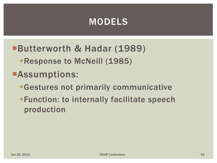### MODELS

- Butterworth & Hadar (1989)
	- **Response to McNeill (1985)**
- Assumptions:
	- Gestures not primarily communicative
	- **Function: to internally facilitate speech** production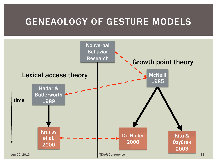### GENEAOLOGY OF GESTURE MODELS

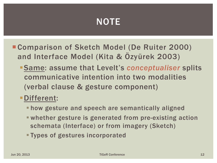# **NOTE**

- Comparison of Sketch Model (De Ruiter 2000) and Interface Model (Kita & Özyürek 2003)
	- Same: assume that Levelt's *conceptualiser* splits communicative intention into two modalities (verbal clause & gesture component)
	- Different:
		- **Thow gesture and speech are semantically aligned**
		- whether gesture is generated from pre-existing action schemata (Interface) or from imagery (Sketch)
		- Types of gestures incorporated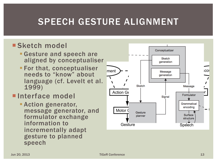# SPEECH GESTURE ALIGNMENT

#### **Sketch model**

- Gesture and speech are aligned by conceptualiser
- **For that, conceptualiser** needs to "know" about language (cf. Levelt et al. 1999)

#### **Interface model**

**Action generator,** message generator, and formulator exchange information to incrementally adapt gesture to planned speech

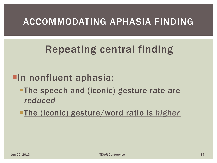### ACCOMMODATING APHASIA FINDING

# Repeating central finding

### **In nonfluent aphasia:**

- **-The speech and (iconic) gesture rate are** *reduced*
- The (iconic) gesture/word ratio is *higher*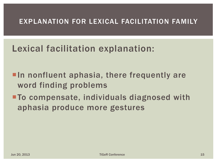#### EXPLANATION FOR LEXICAL FACILITATION FAMILY

### Lexical facilitation explanation:

- **In nonfluent aphasia, there frequently are** word finding problems
- To compensate, individuals diagnosed with aphasia produce more gestures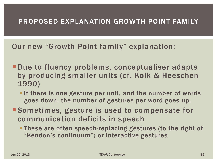#### PROPOSED EXPLANATION GROWTH POINT FAMILY

Our new "Growth Point family" explanation:

- **-Due to fluency problems, conceptualiser adapts** by producing smaller units (cf. Kolk & Heeschen 1990)
	- **If there is one gesture per unit, and the number of words** goes down, the number of gestures per word goes up.
- Sometimes, gesture is used to compensate for communication deficits in speech
	- These are often speech-replacing gestures (to the right of "Kendon's continuum") or interactive gestures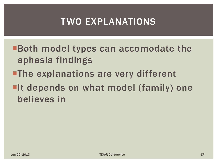# TWO EXPLANATIONS

Both model types can accomodate the aphasia findings

- **The explanations are very different**
- **If depends on what model (family) one** believes in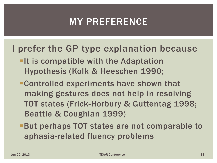# MY PREFERENCE

#### I prefer the GP type explanation because

- **-It is compatible with the Adaptation** Hypothesis (Kolk & Heeschen 1990;
- Controlled experiments have shown that making gestures does not help in resolving TOT states (Frick-Horbury & Guttentag 1998; Beattie & Coughlan 1999)
- But perhaps TOT states are not comparable to aphasia-related fluency problems